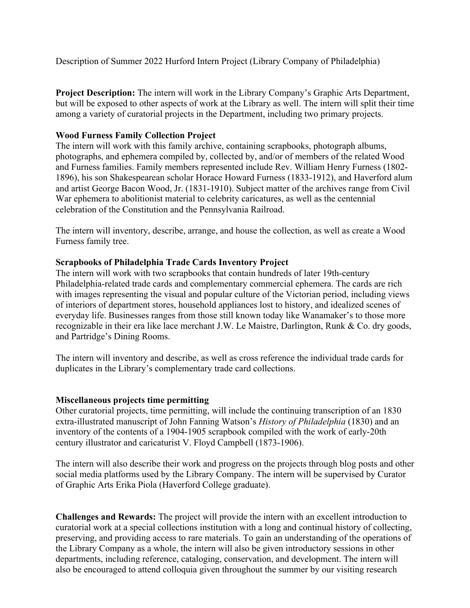Description of Summer 2022 Hurford Intern Project (Library Company of Philadelphia)

**Project Description:** The intern will work in the Library Company's Graphic Arts Department, but will be exposed to other aspects of work at the Library as well. The intern will split their time among a variety of curatorial projects in the Department, including two primary projects.

## **Wood Furness Family Collection Project**

The intern will work with this family archive, containing scrapbooks, photograph albums, photographs, and ephemera compiled by, collected by, and/or of members of the related Wood and Furness families. Family members represented include Rev. William Henry Furness (1802- 1896), his son Shakespearean scholar Horace Howard Furness (1833-1912), and Haverford alum and artist George Bacon Wood, Jr. (1831-1910). Subject matter of the archives range from Civil War ephemera to abolitionist material to celebrity caricatures, as well as the centennial celebration of the Constitution and the Pennsylvania Railroad.

The intern will inventory, describe, arrange, and house the collection, as well as create a Wood Furness family tree.

## **Scrapbooks of Philadelphia Trade Cards Inventory Project**

The intern will work with two scrapbooks that contain hundreds of later 19th-century Philadelphia-related trade cards and complementary commercial ephemera. The cards are rich with images representing the visual and popular culture of the Victorian period, including views of interiors of department stores, household appliances lost to history, and idealized scenes of everyday life. Businesses ranges from those still known today like Wanamaker's to those more recognizable in their era like lace merchant J.W. Le Maistre, Darlington, Runk & Co. dry goods, and Partridge's Dining Rooms.

The intern will inventory and describe, as well as cross reference the individual trade cards for duplicates in the Library's complementary trade card collections.

## **Miscellaneous projects time permitting**

Other curatorial projects, time permitting, will include the continuing transcription of an 1830 extra-illustrated manuscript of John Fanning Watson's *History of Philadelphia* (1830) and an inventory of the contents of a 1904-1905 scrapbook compiled with the work of early-20th century illustrator and caricaturist V. Floyd Campbell (1873-1906).

The intern will also describe their work and progress on the projects through blog posts and other social media platforms used by the Library Company. The intern will be supervised by Curator of Graphic Arts Erika Piola (Haverford College graduate).

**Challenges and Rewards:** The project will provide the intern with an excellent introduction to curatorial work at a special collections institution with a long and continual history of collecting, preserving, and providing access to rare materials. To gain an understanding of the operations of the Library Company as a whole, the intern will also be given introductory sessions in other departments, including reference, cataloging, conservation, and development. The intern will also be encouraged to attend colloquia given throughout the summer by our visiting research